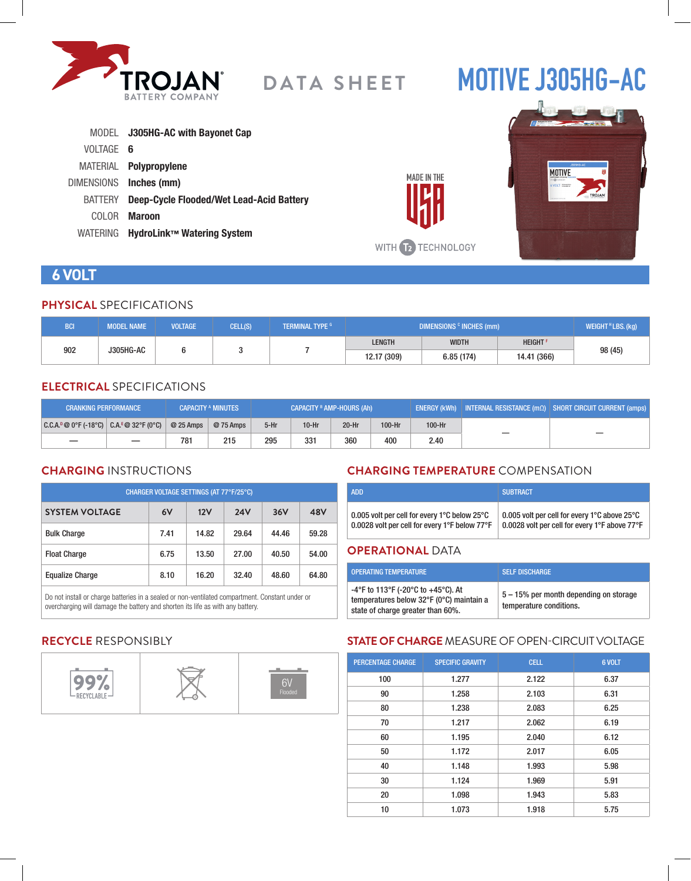

# **MOTIVE J305HG-AC**

|                 | MODEL J305HG-AC with Bayonet Cap         |
|-----------------|------------------------------------------|
| VOLTAGE 6       |                                          |
|                 | MATERIAL <b>Polypropylene</b>            |
|                 | DIMENSIONS Inches (mm)                   |
| BATTERY         | Deep-Cycle Flooded/Wet Lead-Acid Battery |
| COLOR.          | <b>Maroon</b>                            |
| <b>WATERING</b> | HydroLink™ Watering System               |



### **6 VOLT**

#### **PHYSICAL** SPECIFICATIONS

| <b>BCI</b>       | <b>MODEL NAME</b> | <b>VOLTAGE</b> | CELL(S)     | <b>TERMINAL TYPE G</b> | DIMENSIONS <sup>c</sup> INCHES (mm) |                            |  | WEIGHT <sup>H</sup> LBS. (kg) |
|------------------|-------------------|----------------|-------------|------------------------|-------------------------------------|----------------------------|--|-------------------------------|
| 902<br>J305HG-AC |                   |                |             | <b>LENGTH</b>          | <b>WIDTH</b>                        | <b>HEIGHT</b> <sup>F</sup> |  |                               |
|                  |                   |                | 12.17 (309) | 6.85(174)              | 14.41 (366)                         | 98 (45)                    |  |                               |

#### **ELECTRICAL** SPECIFICATIONS

| <b>CRANKING PERFORMANCE</b>                   |            | <b>CAPACITY A MINUTES</b> | <b>CAPACITY <sup>B</sup> AMP-HOURS (Ah)</b> |         |         | 「ENERGY (kWh)   INTERNAL RESISTANCE (mΩ)   SHORT CIRCUIT CURRENT (amps) |        |  |
|-----------------------------------------------|------------|---------------------------|---------------------------------------------|---------|---------|-------------------------------------------------------------------------|--------|--|
| $ C.C.A.^p@0^cF(-18^cC)  C.A.^E@32^cF(0^cC) $ | $@25$ Amps | @ 75 Amps                 | $5-Hr$                                      | $10-Hr$ | $20-Hr$ | $100-Hr$                                                                | 100-Hr |  |
|                                               | 781        | 215                       | 295                                         | 331     | 360     | 400                                                                     | 2.40   |  |

#### **CHARGING** INSTRUCTIONS

| CHARGER VOLTAGE SETTINGS (AT 77°F/25°C) |      |       |            |       |       |  |
|-----------------------------------------|------|-------|------------|-------|-------|--|
| <b>SYSTEM VOLTAGE</b>                   | 6V   | 12V   | <b>24V</b> | 36V   | 48V   |  |
| <b>Bulk Charge</b>                      | 7.41 | 14.82 | 29.64      | 44.46 | 59.28 |  |
| <b>Float Charge</b>                     | 6.75 | 13.50 | 27.00      | 40.50 | 54.00 |  |
| <b>Equalize Charge</b>                  | 8.10 | 16.20 | 32.40      | 48.60 | 64.80 |  |

Do not install or charge batteries in a sealed or non-ventilated compartment. Constant under or overcharging will damage the battery and shorten its life as with any battery.

#### **CHARGING TEMPERATURE** COMPENSATION

| <b>ADD</b>                                                         | <b>SUBTRACT</b>                               |
|--------------------------------------------------------------------|-----------------------------------------------|
| 0.005 volt per cell for every 1 $^{\circ}$ C below 25 $^{\circ}$ C | 0.005 volt per cell for every 1°C above 25°C  |
| 0.0028 volt per cell for every 1°F below 77°F                      | 0.0028 volt per cell for every 1°F above 77°F |

#### **OPERATIONAL** DATA

**MADE IN THE** 

| <b>OPERATING TEMPERATURE</b>                                                                                        | <b>SELF DISCHARGE</b>                                             |
|---------------------------------------------------------------------------------------------------------------------|-------------------------------------------------------------------|
| -4°F to 113°F (-20°C to +45°C). At<br>temperatures below 32°F (0°C) maintain a<br>state of charge greater than 60%. | 5 – 15% per month depending on storage<br>temperature conditions. |

#### **RECYCLE** RESPONSIBLY



#### **STATE OF CHARGE** MEASURE OF OPEN-CIRCUIT VOLTAGE

| <b>PERCENTAGE CHARGE</b> | <b>SPECIFIC GRAVITY</b> | <b>CELL</b> | 6 VOLT |
|--------------------------|-------------------------|-------------|--------|
| 100                      | 1.277                   | 2.122       | 6.37   |
| 90                       | 1.258                   | 2.103       | 6.31   |
| 80                       | 1.238                   | 2.083       | 6.25   |
| 70                       | 1.217                   | 2.062       | 6.19   |
| 60                       | 1.195                   | 2.040       | 6.12   |
| 50                       | 1.172                   | 2.017       | 6.05   |
| 40                       | 1.148                   | 1.993       | 5.98   |
| 30                       | 1.124                   | 1.969       | 5.91   |
| 20                       | 1.098                   | 1.943       | 5.83   |
| 10                       | 1.073                   | 1.918       | 5.75   |